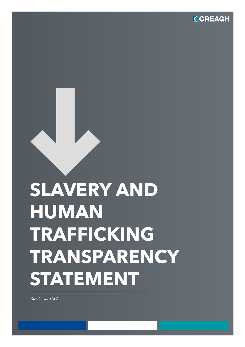**CCREAGH** 

# **SLAVERY AND HUMAN TRAFFICKING TRANSPARENCY STATEMENT**

*Rev 4 – Jan '22*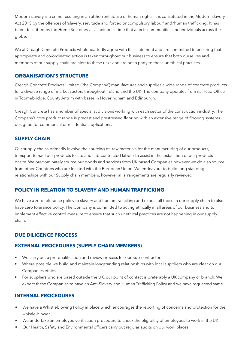Modern slavery is a crime resulting in an abhorrent abuse of human rights. It is constituted in the Modern Slavery Act 2015 by the offences of 'slavery, servitude and forced or compulsory labour' and 'human trafficking'. It has been described by the Home Secretary as a 'heinous crime that affects communities and individuals across the globe.'

We at Creagh Concrete Products wholeheartedly agree with this statement and are committed to ensuring that appropriate and co-ordinated action is taken throughout our business to ensure that both ourselves and members of our supply chain are alert to these risks and are not a party to these unethical practices.

## **ORGANISATION'S STRUCTURE**

Creagh Concrete Products Limited ('the Company') manufactures and supplies a wide range of concrete products for a diverse range of market sectors throughout Ireland and the UK. The company operates from its Head Office in Toomebridge, County Antrim with bases in Hoveringham and Edinburgh.

Creagh Concrete has a number of specialist divisions working with each sector of the construction industry. The Company's core product range is precast and prestressed flooring with an extensive range of flooring systems designed for commercial or residential applications.

## **SUPPLY CHAIN**

Our supply chains primarily involve the sourcing of; raw materials for the manufacturing of our products, transport to haul our products to site and sub-contracted labour to assist in the installation of our products onsite. We predominately source our goods and services from UK based Companies however we do also source from other Countries who are located with the European Union. We endeavour to build long standing relationships with our Supply chain members, however all arrangements are regularly reviewed.

### **POLICY IN RELATION TO SLAVERY AND HUMAN TRAFFICKING**

We have a zero tolerance policy to slavery and human trafficking and expect all those in our supply chain to also have zero tolerance policy. The Company is committed to acting ethically in all areas of our business and to implement effective control measure to ensure that such unethical practices are not happening in our supply chain.

## **DUE DILIGENCE PROCESS**

## **EXTERNAL PROCEDURES (SUPPLY CHAIN MEMBERS)**

- We carry out a pre-qualification and review process for our Sub-contractors
- Where possible we build and maintain longstanding relationships with local suppliers who are clear on our Companies ethics
- For suppliers who are based outside the UK, our point of contact is preferably a UK company or branch. We expect these Companies to have an Anti-Slavery and Human Trafficking Policy and we have requested same

### **INTERNAL PROCEDURES**

- We have a Whistleblowing Policy in place which encourages the reporting of concerns and protection for the whistle-blower
- We undertake an employee verification procedure to check the eligibility of employees to work in the UK
- Our Health, Safety and Environmental officers carry out regular audits on our work places